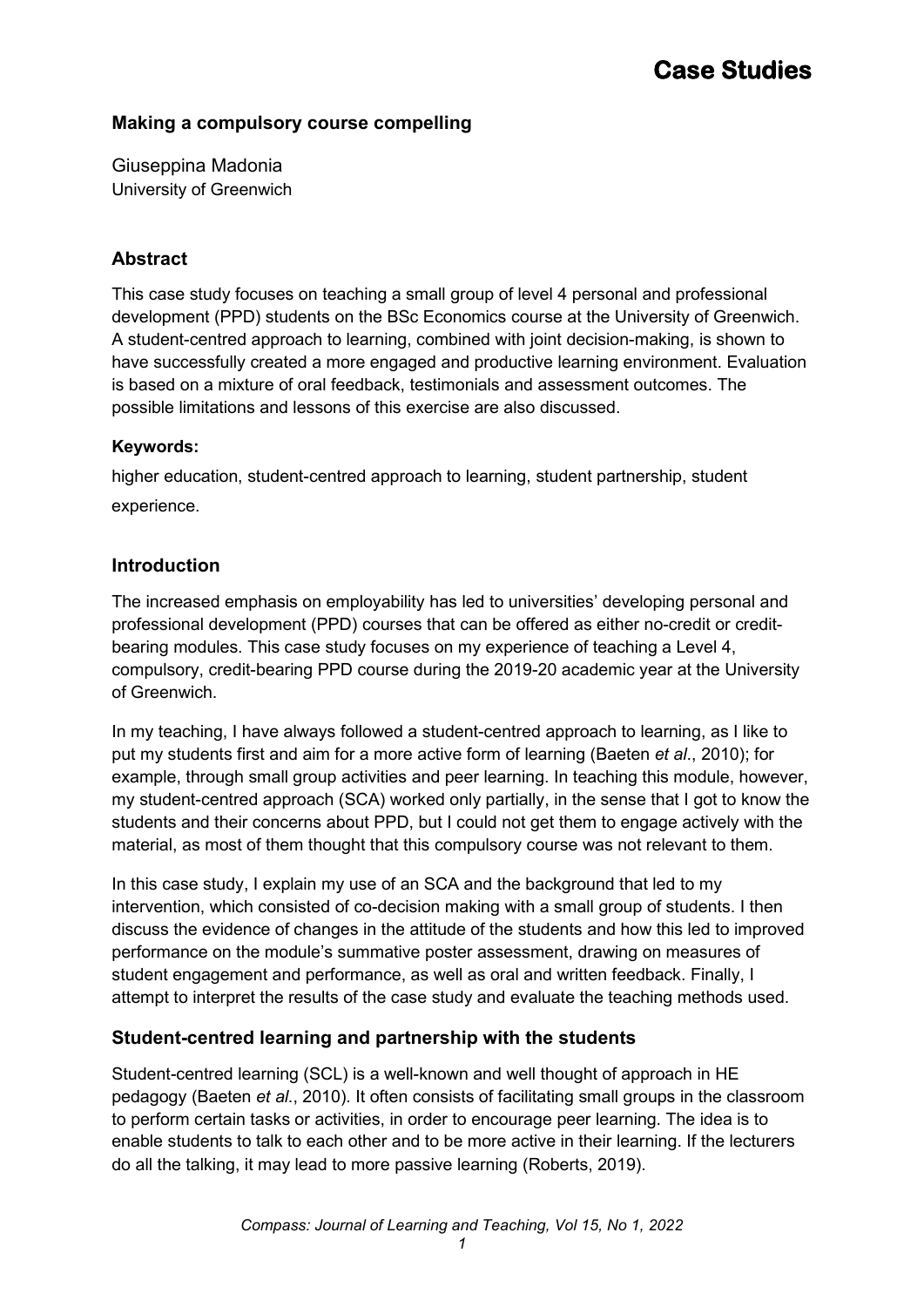### **Making a compulsory course compelling**

Giuseppina Madonia University of Greenwich

### **Abstract**

This case study focuses on teaching a small group of level 4 personal and professional development (PPD) students on the BSc Economics course at the University of Greenwich. A student-centred approach to learning, combined with joint decision-making, is shown to have successfully created a more engaged and productive learning environment. Evaluation is based on a mixture of oral feedback, testimonials and assessment outcomes. The possible limitations and lessons of this exercise are also discussed.

### **Keywords:**

higher education, student-centred approach to learning, student partnership, student experience.

### **Introduction**

The increased emphasis on employability has led to universities' developing personal and professional development (PPD) courses that can be offered as either no-credit or creditbearing modules. This case study focuses on my experience of teaching a Level 4, compulsory, credit-bearing PPD course during the 2019-20 academic year at the University of Greenwich.

In my teaching, I have always followed a student-centred approach to learning, as I like to put my students first and aim for a more active form of learning (Baeten *et al*., 2010); for example, through small group activities and peer learning. In teaching this module, however, my student-centred approach (SCA) worked only partially, in the sense that I got to know the students and their concerns about PPD, but I could not get them to engage actively with the material, as most of them thought that this compulsory course was not relevant to them.

In this case study, I explain my use of an SCA and the background that led to my intervention, which consisted of co-decision making with a small group of students. I then discuss the evidence of changes in the attitude of the students and how this led to improved performance on the module's summative poster assessment, drawing on measures of student engagement and performance, as well as oral and written feedback. Finally, I attempt to interpret the results of the case study and evaluate the teaching methods used.

### **Student-centred learning and partnership with the students**

Student-centred learning (SCL) is a well-known and well thought of approach in HE pedagogy (Baeten *et al*., 2010). It often consists of facilitating small groups in the classroom to perform certain tasks or activities, in order to encourage peer learning. The idea is to enable students to talk to each other and to be more active in their learning. If the lecturers do all the talking, it may lead to more passive learning (Roberts, 2019).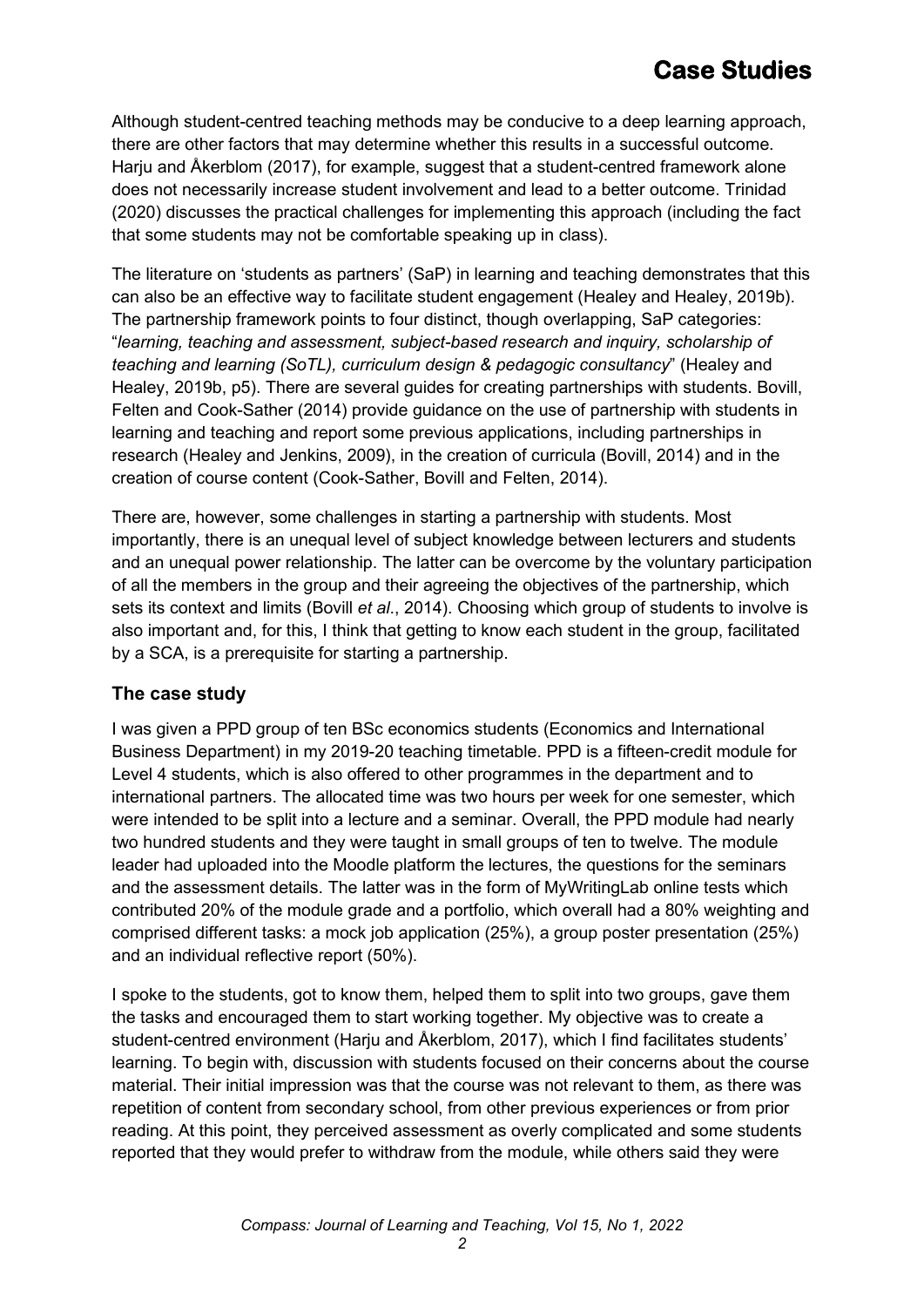Although student-centred teaching methods may be conducive to a deep learning approach, there are other factors that may determine whether this results in a successful outcome. Harju and Åkerblom (2017), for example, suggest that a student-centred framework alone does not necessarily increase student involvement and lead to a better outcome. Trinidad (2020) discusses the practical challenges for implementing this approach (including the fact that some students may not be comfortable speaking up in class).

The literature on 'students as partners' (SaP) in learning and teaching demonstrates that this can also be an effective way to facilitate student engagement (Healey and Healey, 2019b). The partnership framework points to four distinct, though overlapping, SaP categories: "*learning, teaching and assessment, subject-based research and inquiry, scholarship of teaching and learning (SoTL), curriculum design & pedagogic consultancy*" (Healey and Healey, 2019b, p5). There are several guides for creating partnerships with students. Bovill, Felten and Cook-Sather (2014) provide guidance on the use of partnership with students in learning and teaching and report some previous applications, including partnerships in research (Healey and Jenkins, 2009), in the creation of curricula (Bovill, 2014) and in the creation of course content (Cook-Sather, Bovill and Felten, 2014).

There are, however, some challenges in starting a partnership with students. Most importantly, there is an unequal level of subject knowledge between lecturers and students and an unequal power relationship. The latter can be overcome by the voluntary participation of all the members in the group and their agreeing the objectives of the partnership, which sets its context and limits (Bovill *et al*., 2014). Choosing which group of students to involve is also important and, for this, I think that getting to know each student in the group, facilitated by a SCA, is a prerequisite for starting a partnership.

### **The case study**

I was given a PPD group of ten BSc economics students (Economics and International Business Department) in my 2019-20 teaching timetable. PPD is a fifteen-credit module for Level 4 students, which is also offered to other programmes in the department and to international partners. The allocated time was two hours per week for one semester, which were intended to be split into a lecture and a seminar. Overall, the PPD module had nearly two hundred students and they were taught in small groups of ten to twelve. The module leader had uploaded into the Moodle platform the lectures, the questions for the seminars and the assessment details. The latter was in the form of MyWritingLab online tests which contributed 20% of the module grade and a portfolio, which overall had a 80% weighting and comprised different tasks: a mock job application (25%), a group poster presentation (25%) and an individual reflective report (50%).

I spoke to the students, got to know them, helped them to split into two groups, gave them the tasks and encouraged them to start working together. My objective was to create a student-centred environment (Harju and Åkerblom, 2017), which I find facilitates students' learning. To begin with, discussion with students focused on their concerns about the course material. Their initial impression was that the course was not relevant to them, as there was repetition of content from secondary school, from other previous experiences or from prior reading. At this point, they perceived assessment as overly complicated and some students reported that they would prefer to withdraw from the module, while others said they were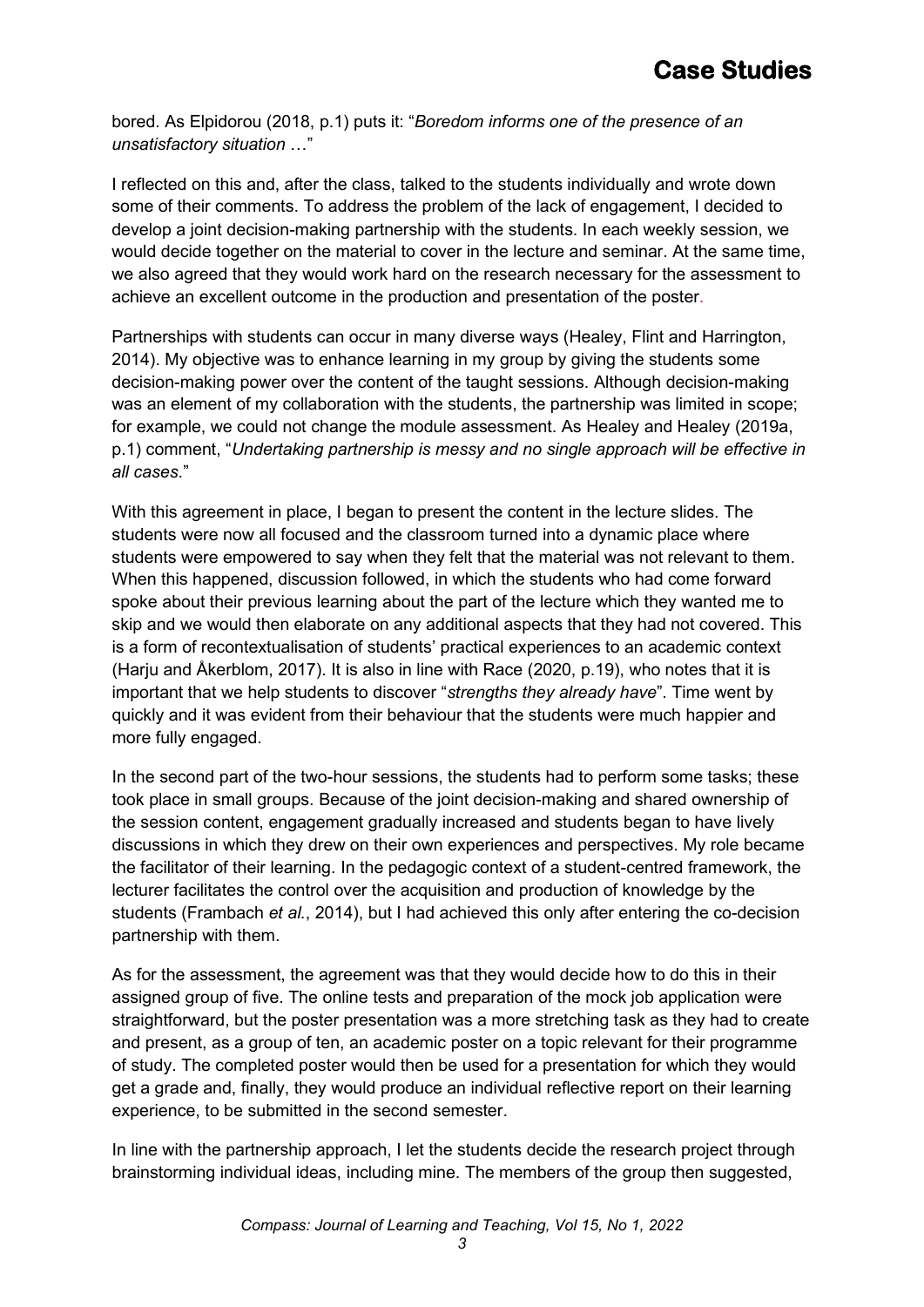bored. As Elpidorou (2018, p.1) puts it: "*Boredom informs one of the presence of an unsatisfactory situation* …"

I reflected on this and, after the class, talked to the students individually and wrote down some of their comments. To address the problem of the lack of engagement, I decided to develop a joint decision-making partnership with the students. In each weekly session, we would decide together on the material to cover in the lecture and seminar. At the same time, we also agreed that they would work hard on the research necessary for the assessment to achieve an excellent outcome in the production and presentation of the poster.

Partnerships with students can occur in many diverse ways (Healey, Flint and Harrington, 2014). My objective was to enhance learning in my group by giving the students some decision-making power over the content of the taught sessions. Although decision-making was an element of my collaboration with the students, the partnership was limited in scope; for example, we could not change the module assessment. As Healey and Healey (2019a, p.1) comment, "*Undertaking partnership is messy and no single approach will be effective in all cases*."

With this agreement in place, I began to present the content in the lecture slides. The students were now all focused and the classroom turned into a dynamic place where students were empowered to say when they felt that the material was not relevant to them. When this happened, discussion followed, in which the students who had come forward spoke about their previous learning about the part of the lecture which they wanted me to skip and we would then elaborate on any additional aspects that they had not covered. This is a form of recontextualisation of students' practical experiences to an academic context (Harju and Åkerblom, 2017). It is also in line with Race (2020, p.19), who notes that it is important that we help students to discover "*strengths they already have*". Time went by quickly and it was evident from their behaviour that the students were much happier and more fully engaged.

In the second part of the two-hour sessions, the students had to perform some tasks; these took place in small groups. Because of the joint decision-making and shared ownership of the session content, engagement gradually increased and students began to have lively discussions in which they drew on their own experiences and perspectives. My role became the facilitator of their learning. In the pedagogic context of a student-centred framework, the lecturer facilitates the control over the acquisition and production of knowledge by the students (Frambach *et al.*, 2014), but I had achieved this only after entering the co-decision partnership with them.

As for the assessment, the agreement was that they would decide how to do this in their assigned group of five. The online tests and preparation of the mock job application were straightforward, but the poster presentation was a more stretching task as they had to create and present, as a group of ten, an academic poster on a topic relevant for their programme of study. The completed poster would then be used for a presentation for which they would get a grade and, finally, they would produce an individual reflective report on their learning experience, to be submitted in the second semester.

In line with the partnership approach, I let the students decide the research project through brainstorming individual ideas, including mine. The members of the group then suggested,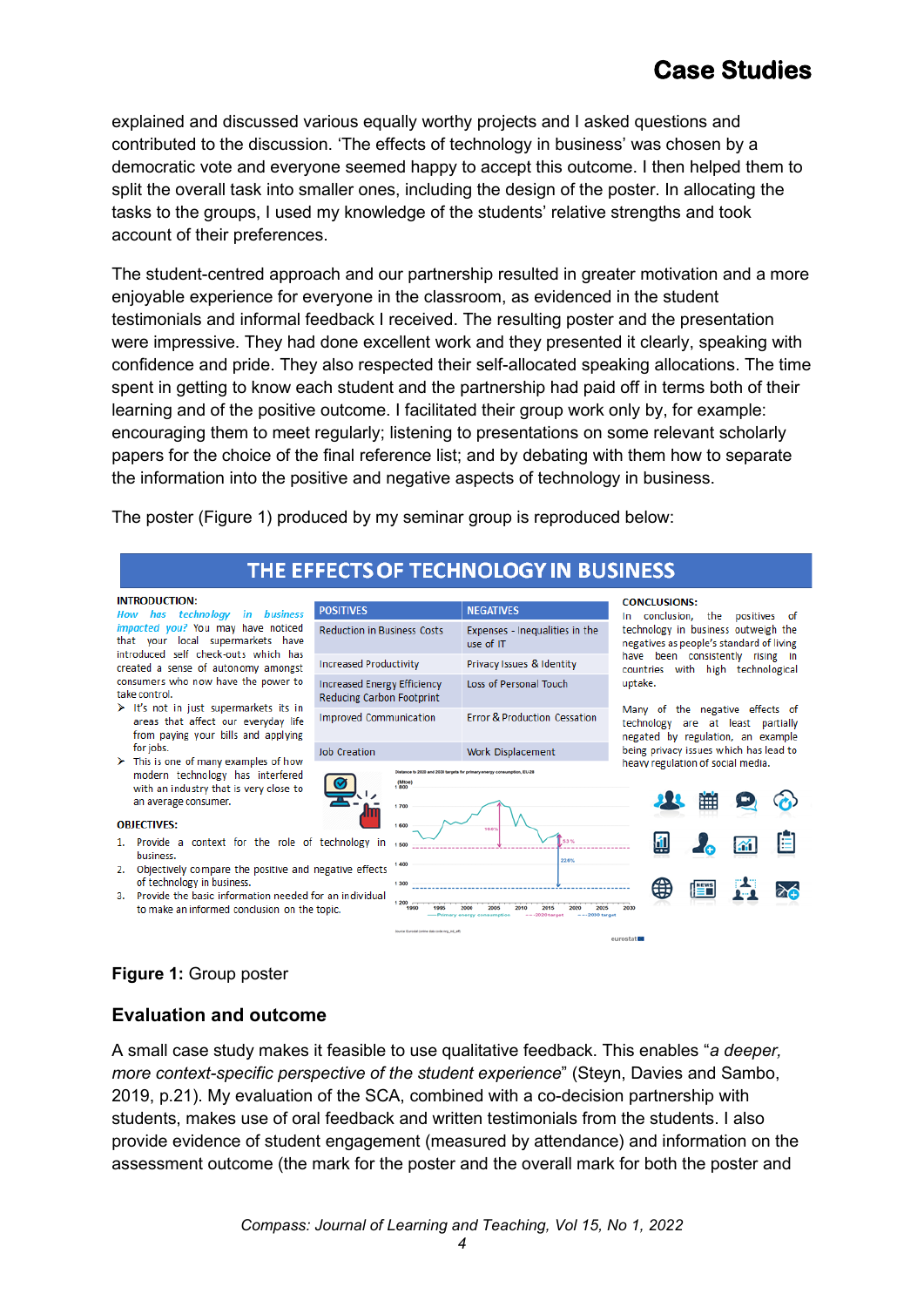explained and discussed various equally worthy projects and I asked questions and contributed to the discussion. 'The effects of technology in business' was chosen by a democratic vote and everyone seemed happy to accept this outcome. I then helped them to split the overall task into smaller ones, including the design of the poster. In allocating the tasks to the groups, I used my knowledge of the students' relative strengths and took account of their preferences.

The student-centred approach and our partnership resulted in greater motivation and a more enjoyable experience for everyone in the classroom, as evidenced in the student testimonials and informal feedback I received. The resulting poster and the presentation were impressive. They had done excellent work and they presented it clearly, speaking with confidence and pride. They also respected their self-allocated speaking allocations. The time spent in getting to know each student and the partnership had paid off in terms both of their learning and of the positive outcome. I facilitated their group work only by, for example: encouraging them to meet regularly; listening to presentations on some relevant scholarly papers for the choice of the final reference list; and by debating with them how to separate the information into the positive and negative aspects of technology in business.

The poster (Figure 1) produced by my seminar group is reproduced below:

## THE EFFECTS OF TECHNOLOGY IN BUSINESS

#### **INTRODUCTION:**

in business **How** has technoloav impacted you? You may have noticed that your local supermarkets have introduced self check-outs which has created a sense of autonomy amongst consumers who now have the power to take control.

- > It's not in just supermarkets its in areas that affect our everyday life from paying your bills and applying for jobs.
- $\triangleright$  This is one of many examples of how modern technology has interfered with an industry that is very close to an average consumer.

#### **OBJECTIVES:**

- 1. Provide a context for the role of technology in business.
- 2. Objectively compare the positive and negative effects of technology in business.
- 3. Provide the basic information needed for an individual to make an informed conclusion on the topic.



## **Figure 1:** Group poster

### **Evaluation and outcome**

A small case study makes it feasible to use qualitative feedback. This enables "*a deeper, more context-specific perspective of the student experience*" (Steyn, Davies and Sambo, 2019, p.21). My evaluation of the SCA, combined with a co-decision partnership with students, makes use of oral feedback and written testimonials from the students. I also provide evidence of student engagement (measured by attendance) and information on the assessment outcome (the mark for the poster and the overall mark for both the poster and

*4*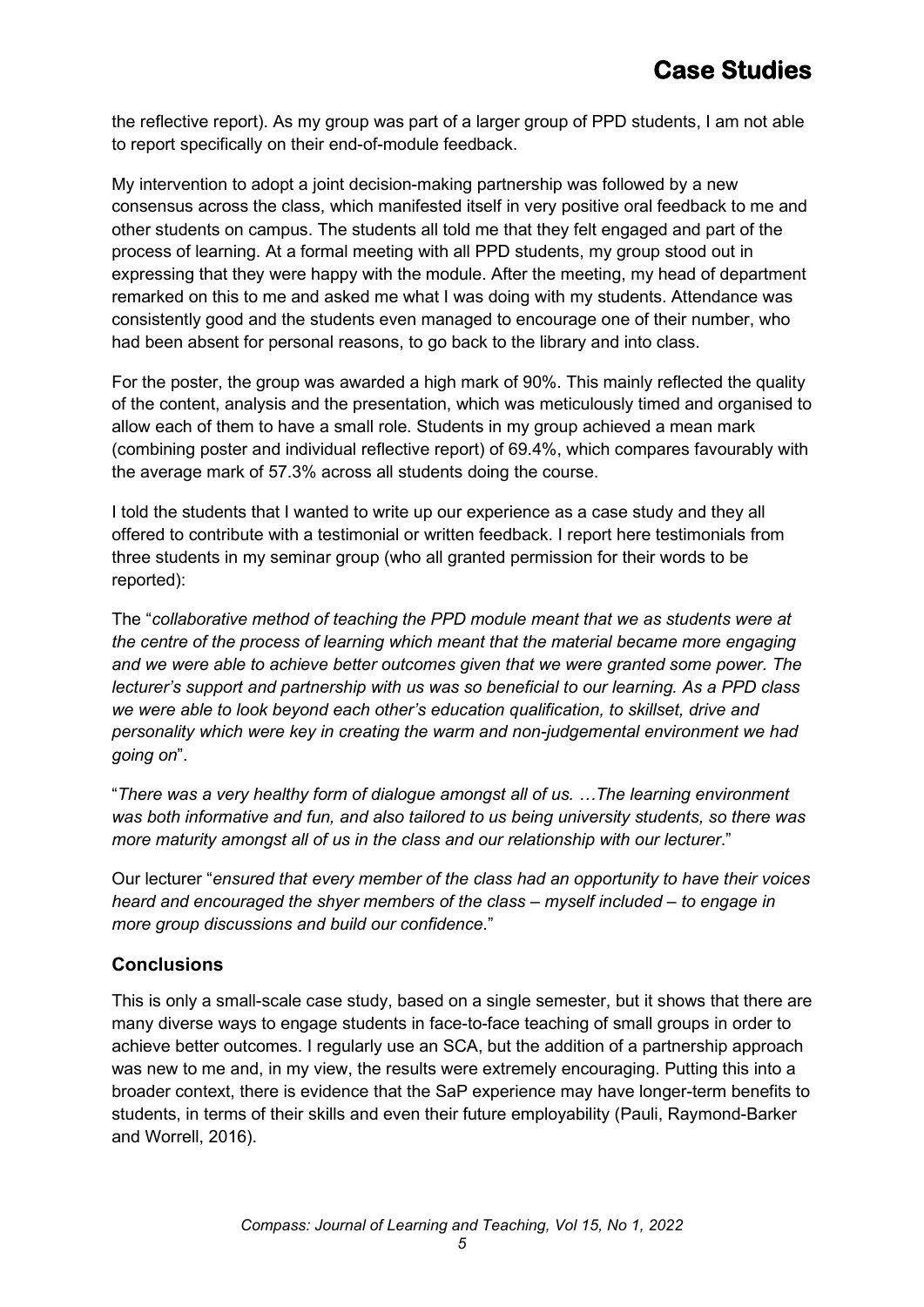the reflective report). As my group was part of a larger group of PPD students, I am not able to report specifically on their end-of-module feedback.

My intervention to adopt a joint decision-making partnership was followed by a new consensus across the class, which manifested itself in very positive oral feedback to me and other students on campus. The students all told me that they felt engaged and part of the process of learning. At a formal meeting with all PPD students, my group stood out in expressing that they were happy with the module. After the meeting, my head of department remarked on this to me and asked me what I was doing with my students. Attendance was consistently good and the students even managed to encourage one of their number, who had been absent for personal reasons, to go back to the library and into class.

For the poster, the group was awarded a high mark of 90%. This mainly reflected the quality of the content, analysis and the presentation, which was meticulously timed and organised to allow each of them to have a small role. Students in my group achieved a mean mark (combining poster and individual reflective report) of 69.4%, which compares favourably with the average mark of 57.3% across all students doing the course.

I told the students that I wanted to write up our experience as a case study and they all offered to contribute with a testimonial or written feedback. I report here testimonials from three students in my seminar group (who all granted permission for their words to be reported):

The "*collaborative method of teaching the PPD module meant that we as students were at the centre of the process of learning which meant that the material became more engaging and we were able to achieve better outcomes given that we were granted some power. The lecturer's support and partnership with us was so beneficial to our learning. As a PPD class we were able to look beyond each other's education qualification, to skillset, drive and personality which were key in creating the warm and non-judgemental environment we had going on*".

"*There was a very healthy form of dialogue amongst all of us. …The learning environment was both informative and fun, and also tailored to us being university students, so there was more maturity amongst all of us in the class and our relationship with our lecturer*."

Our lecturer "*ensured that every member of the class had an opportunity to have their voices heard and encouraged the shyer members of the class – myself included – to engage in more group discussions and build our confidence*."

### **Conclusions**

This is only a small-scale case study, based on a single semester, but it shows that there are many diverse ways to engage students in face-to-face teaching of small groups in order to achieve better outcomes. I regularly use an SCA, but the addition of a partnership approach was new to me and, in my view, the results were extremely encouraging. Putting this into a broader context, there is evidence that the SaP experience may have longer-term benefits to students, in terms of their skills and even their future employability (Pauli, Raymond-Barker and Worrell, 2016).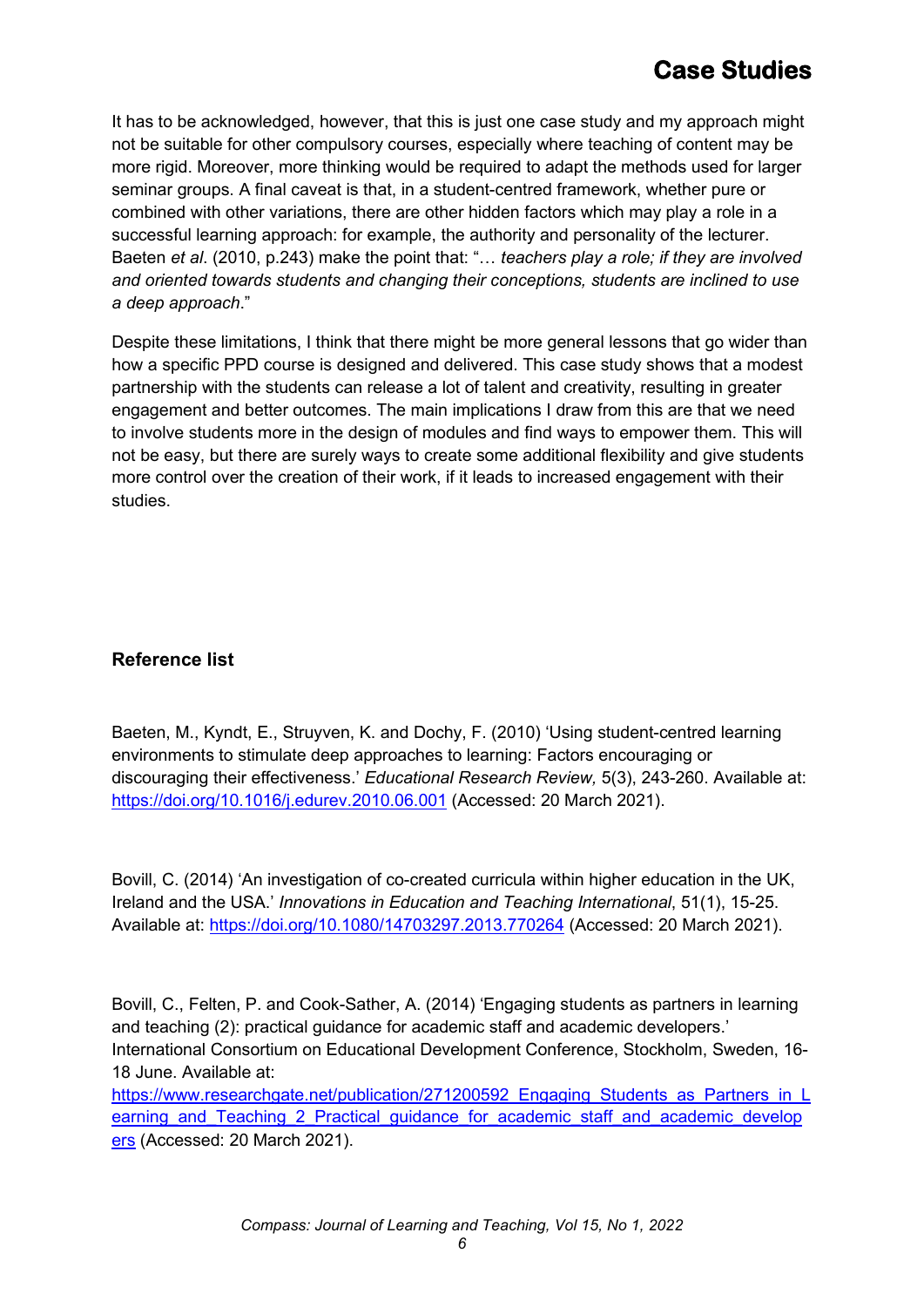It has to be acknowledged, however, that this is just one case study and my approach might not be suitable for other compulsory courses, especially where teaching of content may be more rigid. Moreover, more thinking would be required to adapt the methods used for larger seminar groups. A final caveat is that, in a student-centred framework, whether pure or combined with other variations, there are other hidden factors which may play a role in a successful learning approach: for example, the authority and personality of the lecturer. Baeten *et al*. (2010, p.243) make the point that: "… *teachers play a role; if they are involved and oriented towards students and changing their conceptions, students are inclined to use a deep approach*."

Despite these limitations, I think that there might be more general lessons that go wider than how a specific PPD course is designed and delivered. This case study shows that a modest partnership with the students can release a lot of talent and creativity, resulting in greater engagement and better outcomes. The main implications I draw from this are that we need to involve students more in the design of modules and find ways to empower them. This will not be easy, but there are surely ways to create some additional flexibility and give students more control over the creation of their work, if it leads to increased engagement with their studies.

### **Reference list**

Baeten, M., Kyndt, E., Struyven, K. and Dochy, F. (2010) 'Using student-centred learning environments to stimulate deep approaches to learning: Factors encouraging or discouraging their effectiveness.' *Educational Research Review,* 5(3), 243-260. Available at: <https://doi.org/10.1016/j.edurev.2010.06.001> (Accessed: 20 March 2021).

Bovill, C. (2014) 'An investigation of co-created curricula within higher education in the UK, Ireland and the USA.' *Innovations in Education and Teaching International*, 51(1), 15-25. Available at:<https://doi.org/10.1080/14703297.2013.770264> (Accessed: 20 March 2021).

Bovill, C., Felten, P. and Cook-Sather, A. (2014) 'Engaging students as partners in learning and teaching (2): practical guidance for academic staff and academic developers.' International Consortium on Educational Development Conference, Stockholm, Sweden, 16- 18 June. Available at: [https://www.researchgate.net/publication/271200592\\_Engaging\\_Students\\_as\\_Partners\\_in\\_L](https://www.researchgate.net/publication/271200592_Engaging_Students_as_Partners_in_Learning_and_Teaching_2_Practical_guidance_for_academic_staff_and_academic_developers) earning and Teaching 2 Practical guidance for academic staff and academic develop

[ers](https://www.researchgate.net/publication/271200592_Engaging_Students_as_Partners_in_Learning_and_Teaching_2_Practical_guidance_for_academic_staff_and_academic_developers) (Accessed: 20 March 2021).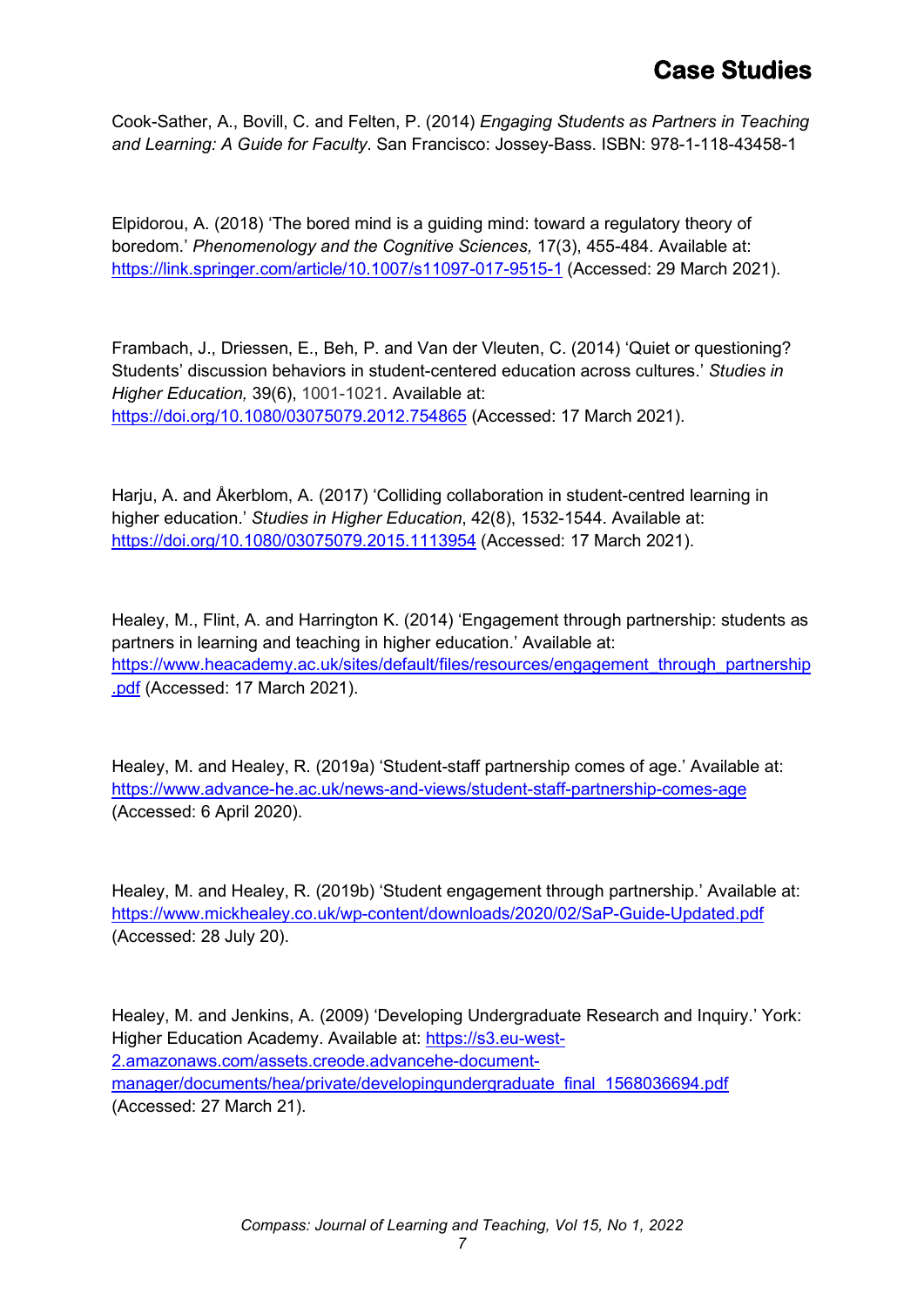Cook-Sather, A., Bovill, C. and Felten, P. (2014) *Engaging Students as Partners in Teaching and Learning: A Guide for Faculty*. San Francisco: Jossey-Bass. ISBN: 978-1-118-43458-1

Elpidorou, A. (2018) 'The bored mind is a guiding mind: toward a regulatory theory of boredom.' *[Phenomenology and the Cognitive Sciences,](https://link.springer.com/journal/11097)* 17(3), 455-484. Available at: <https://link.springer.com/article/10.1007/s11097-017-9515-1> (Accessed: 29 March 2021).

Frambach, J., Driessen, E., Beh, P. and Van der Vleuten, C. (2014) 'Quiet or questioning? Students' discussion behaviors in student-centered education across cultures.' *Studies in Higher Education,* 39(6), 1001-1021. Available at: <https://doi.org/10.1080/03075079.2012.754865> (Accessed: 17 March 2021).

Harju, A. and Åkerblom, A. (2017) 'Colliding collaboration in student-centred learning in higher education.' *Studies in Higher Education*, 42(8), 1532-1544. Available at: <https://doi.org/10.1080/03075079.2015.1113954> (Accessed: 17 March 2021).

Healey, M., Flint, A. and Harrington K. (2014) 'Engagement through partnership: students as partners in learning and teaching in higher education.' Available at: [https://www.heacademy.ac.uk/sites/default/files/resources/engagement\\_through\\_partnership](https://www.heacademy.ac.uk/sites/default/files/resources/engagement_through_partnership.pdf) [.pdf](https://www.heacademy.ac.uk/sites/default/files/resources/engagement_through_partnership.pdf) (Accessed: 17 March 2021).

Healey, M. and Healey, R. (2019a) ['Student-staff partnership comes of age.](https://www.advance-he.ac.uk/news-and-views/student-staff-partnership-comes-age)' Available at: <https://www.advance-he.ac.uk/news-and-views/student-staff-partnership-comes-age> (Accessed: 6 April 2020).

Healey, M. and Healey, R. (2019b) 'Student engagement through partnership.' Available at: <https://www.mickhealey.co.uk/wp-content/downloads/2020/02/SaP-Guide-Updated.pdf> (Accessed: 28 July 20).

Healey, M. and Jenkins, A. (2009) 'Developing Undergraduate Research and Inquiry.' York: Higher Education Academy. Available at: [https://s3.eu-west-](https://s3.eu-west-2.amazonaws.com/assets.creode.advancehe-document-manager/documents/hea/private/developingundergraduate_final_1568036694.pdf)[2.amazonaws.com/assets.creode.advancehe-document](https://s3.eu-west-2.amazonaws.com/assets.creode.advancehe-document-manager/documents/hea/private/developingundergraduate_final_1568036694.pdf)[manager/documents/hea/private/developingundergraduate\\_final\\_1568036694.pdf](https://s3.eu-west-2.amazonaws.com/assets.creode.advancehe-document-manager/documents/hea/private/developingundergraduate_final_1568036694.pdf) (Accessed: 27 March 21).